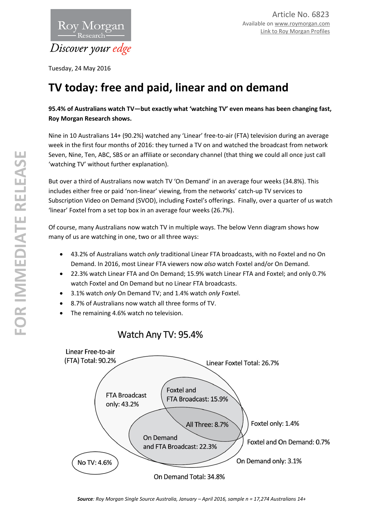

Tuesday, 24 May 2016

# **TV today: free and paid, linear and on demand**

# **95.4% of Australians watch TV—but exactly what 'watching TV' even means has been changing fast, Roy Morgan Research shows.**

Nine in 10 Australians 14+ (90.2%) watched any 'Linear' free-to-air (FTA) television during an average week in the first four months of 2016: they turned a TV on and watched the broadcast from network Seven, Nine, Ten, ABC, SBS or an affiliate or secondary channel (that thing we could all once just call 'watching TV' without further explanation).

But over a third of Australians now watch TV 'On Demand' in an average four weeks (34.8%). This includes either free or paid 'non-linear' viewing, from the networks' catch-up TV services to Subscription Video on Demand (SVOD), including Foxtel's offerings. Finally, over a quarter of us watch 'linear' Foxtel from a set top box in an average four weeks (26.7%).

Of course, many Australians now watch TV in multiple ways. The below Venn diagram shows how many of us are watching in one, two or all three ways:

- 43.2% of Australians watch *only* traditional Linear FTA broadcasts, with no Foxtel and no On Demand. In 2016, most Linear FTA viewers now *also* watch Foxtel and/or On Demand.
- 22.3% watch Linear FTA and On Demand; 15.9% watch Linear FTA and Foxtel; and only 0.7% watch Foxtel and On Demand but no Linear FTA broadcasts.
- 3.1% watch *only* On Demand TV; and 1.4% watch *only* Foxtel.
- 8.7% of Australians now watch all three forms of TV.
- The remaining 4.6% watch no television.

# Watch Any TV: 95.4%

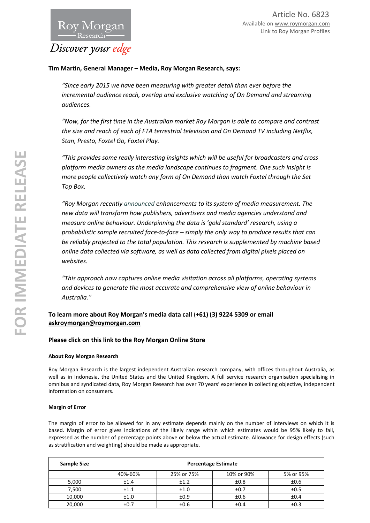

### **Tim Martin, General Manager – Media, Roy Morgan Research, says:**

*"Since early 2015 we have been measuring with greater detail than ever before the incremental audience reach, overlap and exclusive watching of On Demand and streaming audiences.* 

*"Now, for the first time in the Australian market Roy Morgan is able to compare and contrast the size and reach of each of FTA terrestrial television and On Demand TV including Netflix, Stan, Presto, Foxtel Go, Foxtel Play.*

*"This provides some really interesting insights which will be useful for broadcasters and cross platform media owners as the media landscape continues to fragment. One such insight is more people collectively watch any form of On Demand than watch Foxtel through the Set Top Box.*

*"Roy Morgan recentl[y announced](http://roymorgan.com.au/findings/6796-roy-morgan-launching-new-cross-device-audience-data-may-2016-201605050333) enhancements to its system of media measurement. The new data will transform how publishers, advertisers and media agencies understand and measure online behaviour. Underpinning the data is 'gold standard' research, using a probabilistic sample recruited face-to-face – simply the only way to produce results that can be reliably projected to the total population. This research is supplemented by machine based online data collected via software, as well as data collected from digital pixels placed on websites.* 

*"This approach now captures online media visitation across all platforms, operating systems and devices to generate the most accurate and comprehensive view of online behaviour in Australia."*

## **To learn more about Roy Morgan's media data call** (**+61) (3) 9224 5309 or email [askroymorgan@roymorgan.com](mailto:askroymorgan@roymorgan.com)**

#### **Please click on this link to the [Roy Morgan Online Store](http://www.roymorganonlinestore.com/)**

#### **About Roy Morgan Research**

Roy Morgan Research is the largest independent Australian research company, with offices throughout Australia, as well as in Indonesia, the United States and the United Kingdom. A full service research organisation specialising in omnibus and syndicated data, Roy Morgan Research has over 70 years' experience in collecting objective, independent information on consumers.

#### **Margin of Error**

The margin of error to be allowed for in any estimate depends mainly on the number of interviews on which it is based. Margin of error gives indications of the likely range within which estimates would be 95% likely to fall, expressed as the number of percentage points above or below the actual estimate. Allowance for design effects (such as stratification and weighting) should be made as appropriate.

| Sample Size | <b>Percentage Estimate</b> |            |            |           |  |
|-------------|----------------------------|------------|------------|-----------|--|
|             | 40%-60%                    | 25% or 75% | 10% or 90% | 5% or 95% |  |
| 5,000       | ±1.4                       | ±1.2       | ±0.8       | ±0.6      |  |
| 7,500       | ±1.1                       | ±1.0       | ±0.7       | ±0.5      |  |
| 10,000      | ±1.0                       | ±0.9       | ±0.6       | ±0.4      |  |
| 20,000      | ±0.7                       | ±0.6       | ±0.4       | ±0.3      |  |